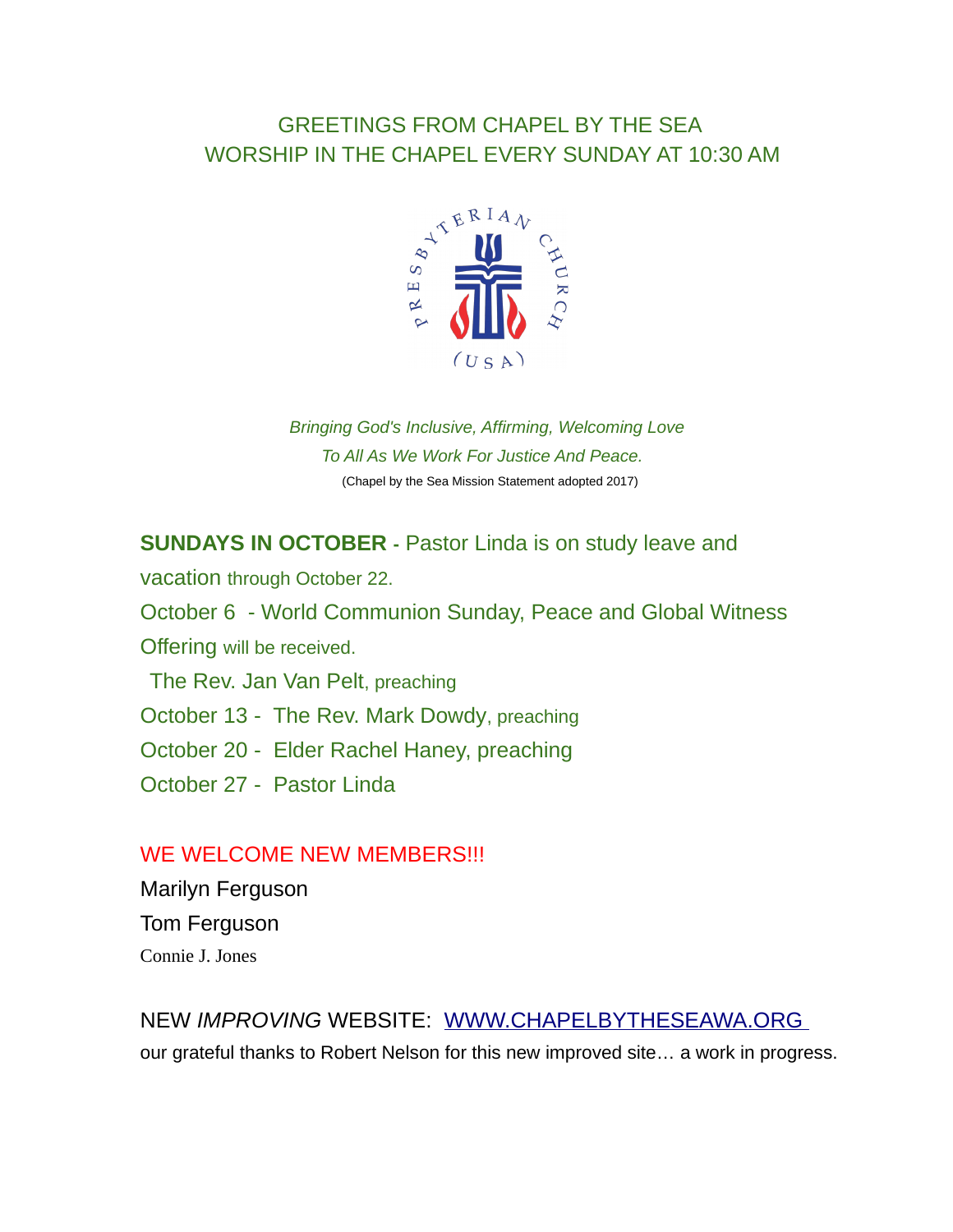## GREETINGS FROM CHAPEL BY THE SEA WORSHIP IN THE CHAPEL EVERY SUNDAY AT 10:30 AM



*Bringing God's Inclusive, Affirming, Welcoming Love To All As We Work For Justice And Peace.* (Chapel by the Sea Mission Statement adopted 2017)

#### **SUNDAYS IN OCTOBER -** Pastor Linda is on study leave and

vacation through October 22. October 6 - World Communion Sunday, Peace and Global Witness Offering will be received. The Rev. Jan Van Pelt, preaching October 13 - The Rev. Mark Dowdy, preaching October 20 - Elder Rachel Haney, preaching

October 27 - Pastor Linda

#### WE WELCOME NEW MEMBERS!!!

Marilyn Ferguson Tom Ferguson Connie J. Jones

### NEW *IMPROVING* WEBSITE: [WWW.CHAPELBYTHESEAWA.ORG](http://www.chapelbytheseawa.org/)  our grateful thanks to Robert Nelson for this new improved site… a work in progress.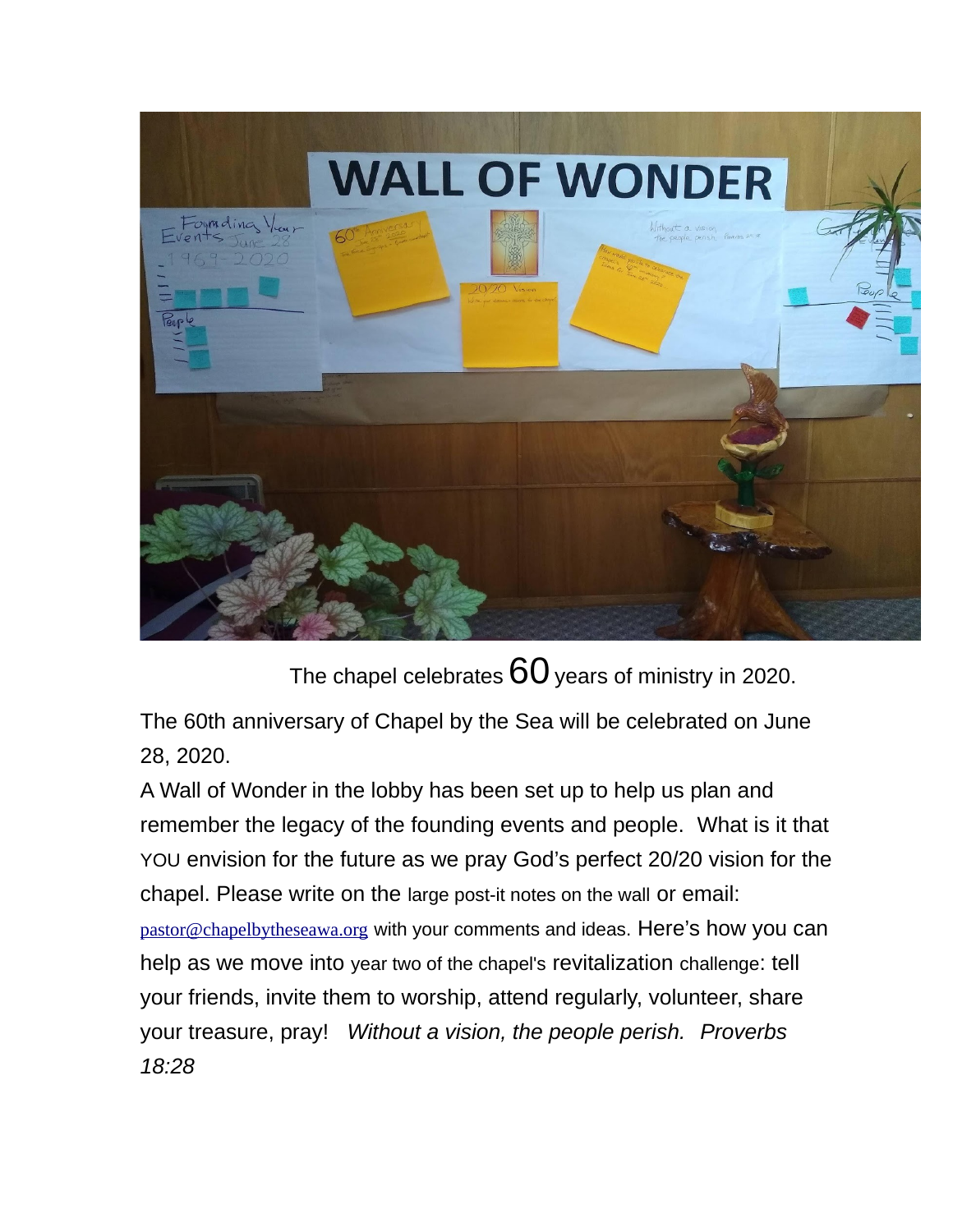

The chapel celebrates  $60$  years of ministry in 2020.

The 60th anniversary of Chapel by the Sea will be celebrated on June 28, 2020.

A Wall of Wonder in the lobby has been set up to help us plan and remember the legacy of the founding events and people. What is it that YOU envision for the future as we pray God's perfect 20/20 vision for the chapel. Please write on the large post-it notes on the wall or email: [pastor@chapelbytheseawa.org](mailto:pastor@chapelbytheseawa.org) with your comments and ideas. Here's how you can help as we move into year two of the chapel's revitalization challenge: tell your friends, invite them to worship, attend regularly, volunteer, share your treasure, pray! *Without a vision, the people perish. Proverbs 18:28*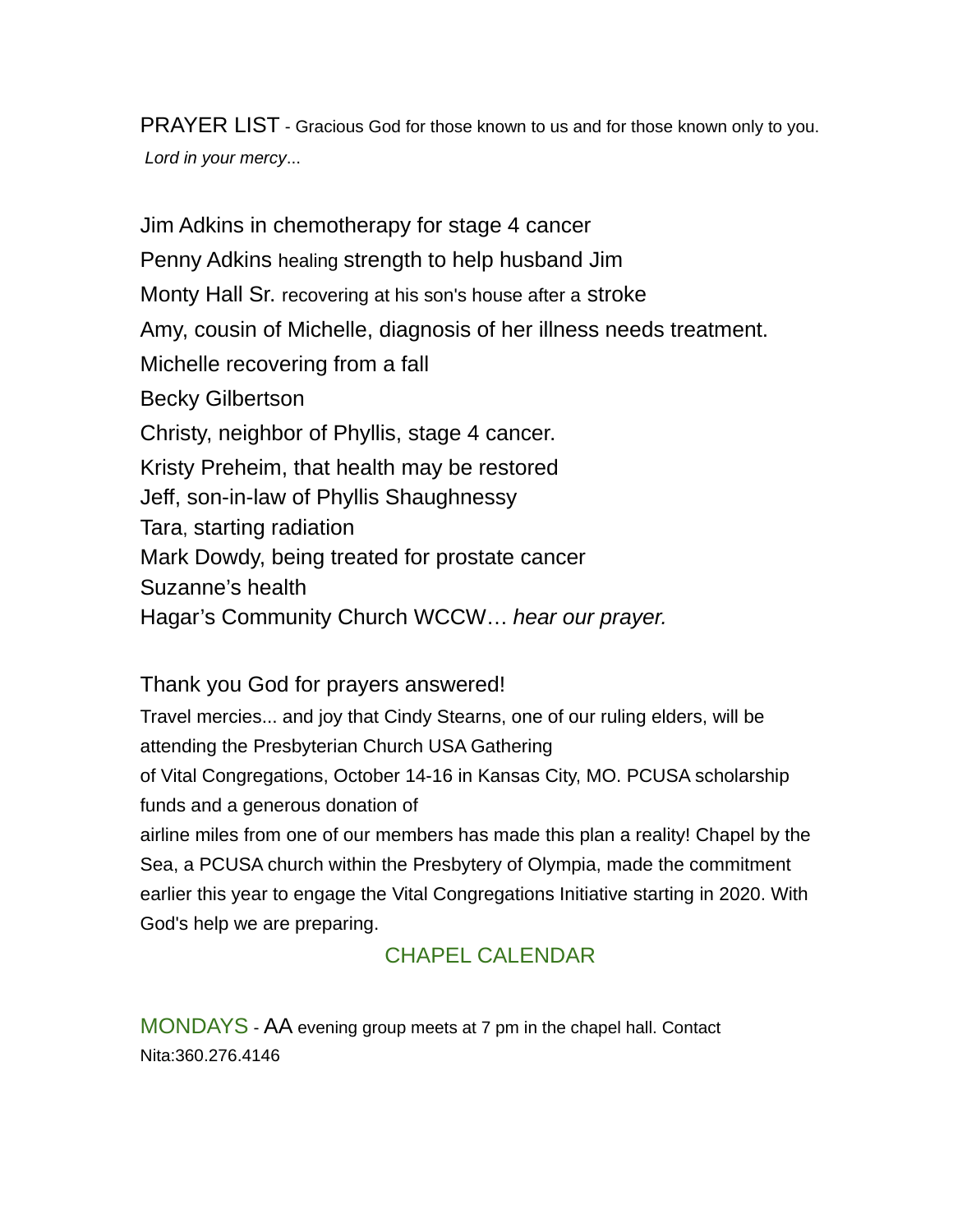PRAYER LIST - Gracious God for those known to us and for those known only to you. *Lord in your mercy*...

Jim Adkins in chemotherapy for stage 4 cancer Penny Adkins healing strength to help husband Jim Monty Hall Sr. recovering at his son's house after a stroke Amy, cousin of Michelle, diagnosis of her illness needs treatment. Michelle recovering from a fall Becky Gilbertson Christy, neighbor of Phyllis, stage 4 cancer. Kristy Preheim, that health may be restored Jeff, son-in-law of Phyllis Shaughnessy Tara, starting radiation Mark Dowdy, being treated for prostate cancer Suzanne's health Hagar's Community Church WCCW… *hear our prayer.*

Thank you God for prayers answered!

Travel mercies... and joy that Cindy Stearns, one of our ruling elders, will be attending the Presbyterian Church USA Gathering

of Vital Congregations, October 14-16 in Kansas City, MO. PCUSA scholarship funds and a generous donation of

airline miles from one of our members has made this plan a reality! Chapel by the Sea, a PCUSA church within the Presbytery of Olympia, made the commitment earlier this year to engage the Vital Congregations Initiative starting in 2020. With God's help we are preparing.

## CHAPEL CALENDAR

MONDAYS - AA evening group meets at 7 pm in the chapel hall. Contact Nita:360.276.4146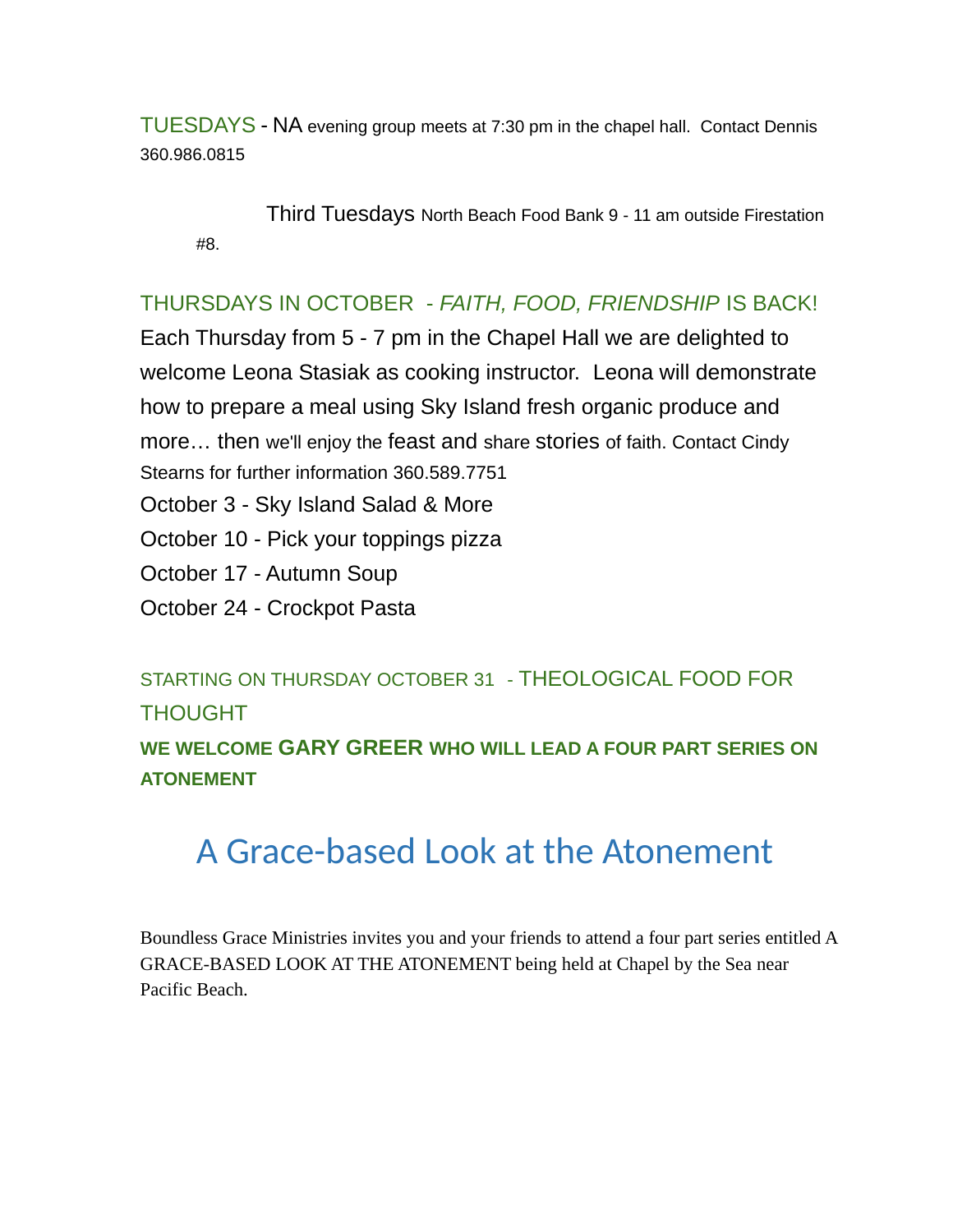TUESDAYS - NA evening group meets at 7:30 pm in the chapel hall. Contact Dennis 360.986.0815

Third Tuesdays North Beach Food Bank 9 - 11 am outside Firestation #8.

#### THURSDAYS IN OCTOBER - *FAITH, FOOD, FRIENDSHIP* IS BACK!

Each Thursday from 5 - 7 pm in the Chapel Hall we are delighted to welcome Leona Stasiak as cooking instructor. Leona will demonstrate how to prepare a meal using Sky Island fresh organic produce and more… then we'll enjoy the feast and share stories of faith. Contact Cindy Stearns for further information 360.589.7751 October 3 - Sky Island Salad & More October 10 - Pick your toppings pizza

October 17 - Autumn Soup

October 24 - Crockpot Pasta

STARTING ON THURSDAY OCTOBER 31 - THEOLOGICAL FOOD FOR THOUGHT

**WE WELCOME GARY GREER WHO WILL LEAD A FOUR PART SERIES ON ATONEMENT**

# A Grace-based Look at the Atonement

Boundless Grace Ministries invites you and your friends to attend a four part series entitled A GRACE-BASED LOOK AT THE ATONEMENT being held at Chapel by the Sea near Pacific Beach.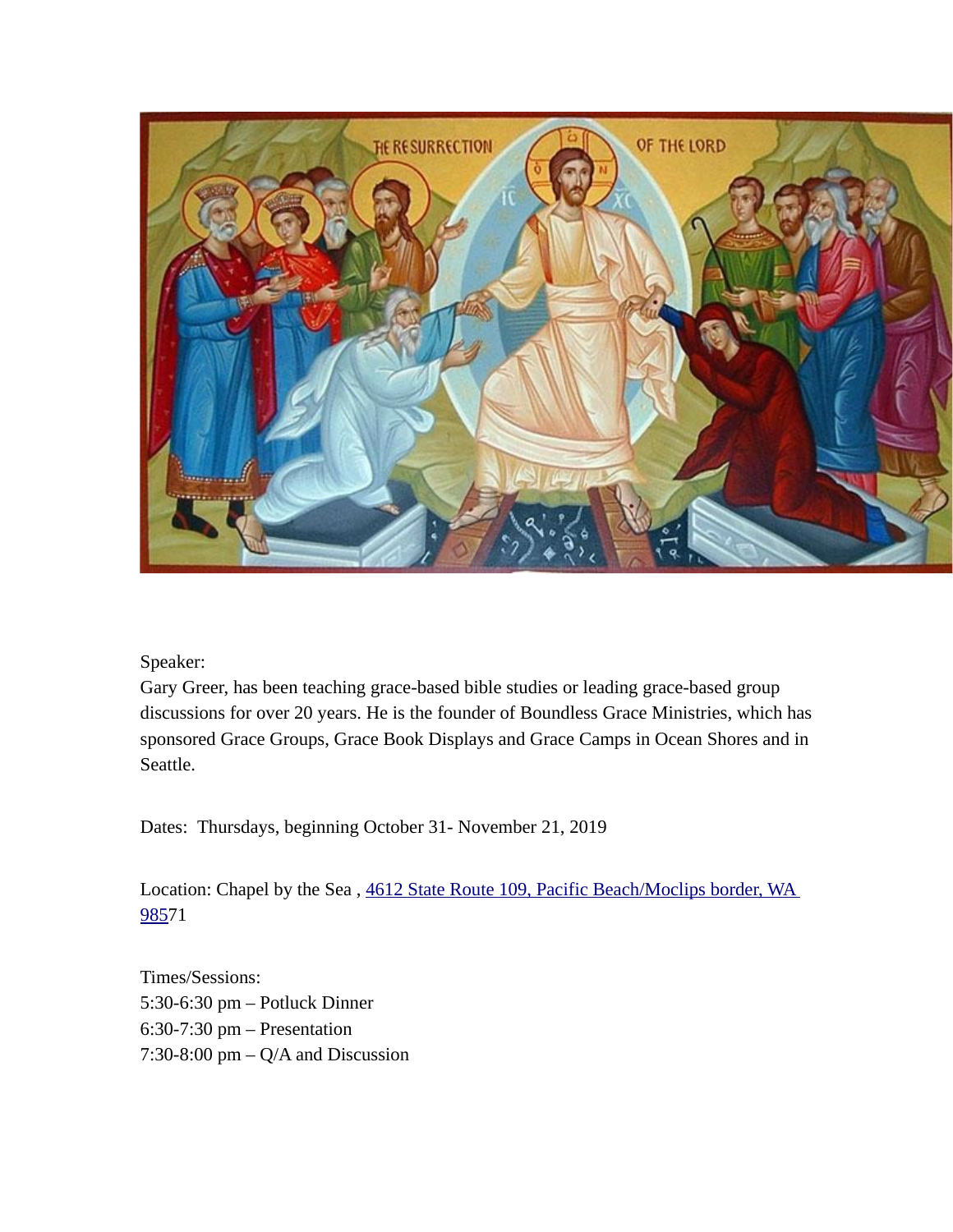

Speaker:

Gary Greer, has been teaching grace-based bible studies or leading grace-based group discussions for over 20 years. He is the founder of Boundless Grace Ministries, which has sponsored Grace Groups, Grace Book Displays and Grace Camps in Ocean Shores and in Seattle.

Dates: Thursdays, beginning October 31- November 21, 2019

Location: Chapel by the Sea , [4612 State Route 109, Pacific Beach/Moclips border, WA](https://www.bing.com/local?lid=YN930x15938293&id=YN930x15938293&q=Chapel+by+the+Sea&name=Chapel+by+the+Sea&cp=47.221473693847656~-124.20580291748047&ppois=47.221473693847656_-124.20580291748047_Chapel+by+the+Sea&FORM=SNAPST)  [985](https://www.bing.com/local?lid=YN930x15938293&id=YN930x15938293&q=Chapel+by+the+Sea&name=Chapel+by+the+Sea&cp=47.221473693847656~-124.20580291748047&ppois=47.221473693847656_-124.20580291748047_Chapel+by+the+Sea&FORM=SNAPST)71

Times/Sessions: 5:30-6:30 pm – Potluck Dinner 6:30-7:30 pm – Presentation 7:30-8:00 pm – Q/A and Discussion